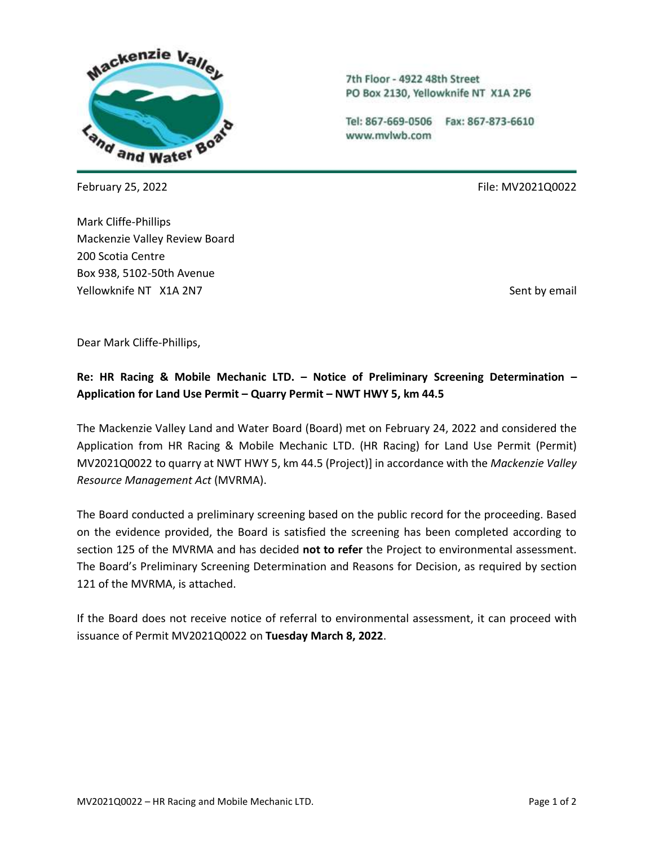

Mark Cliffe-Phillips Mackenzie Valley Review Board 200 Scotia Centre Box 938, 5102-50th Avenue Yellowknife NT X1A 2N7 Sent by email and the sent by email sent by email sent by email

7th Floor - 4922 48th Street PO Box 2130, Yellowknife NT X1A 2P6

Tel: 867-669-0506 Fax: 867-873-6610 www.mvlwb.com

February 25, 2022 File: MV2021Q0022

Dear Mark Cliffe-Phillips,

# **Re: HR Racing & Mobile Mechanic LTD. – Notice of Preliminary Screening Determination – Application for Land Use Permit – Quarry Permit – NWT HWY 5, km 44.5**

The Mackenzie Valley Land and Water Board (Board) met on February 24, 2022 and considered the Application from HR Racing & Mobile Mechanic LTD. (HR Racing) for Land Use Permit (Permit) MV2021Q0022 to quarry at NWT HWY 5, km 44.5 (Project)] in accordance with the *Mackenzie Valley Resource Management Act* (MVRMA).

The Board conducted a preliminary screening based on the public record for the proceeding. Based on the evidence provided, the Board is satisfied the screening has been completed according to section 125 of the MVRMA and has decided **not to refer** the Project to environmental assessment. The Board's Preliminary Screening Determination and Reasons for Decision, as required by section 121 of the MVRMA, is attached.

If the Board does not receive notice of referral to environmental assessment, it can proceed with issuance of Permit MV2021Q0022 on **Tuesday March 8, 2022**.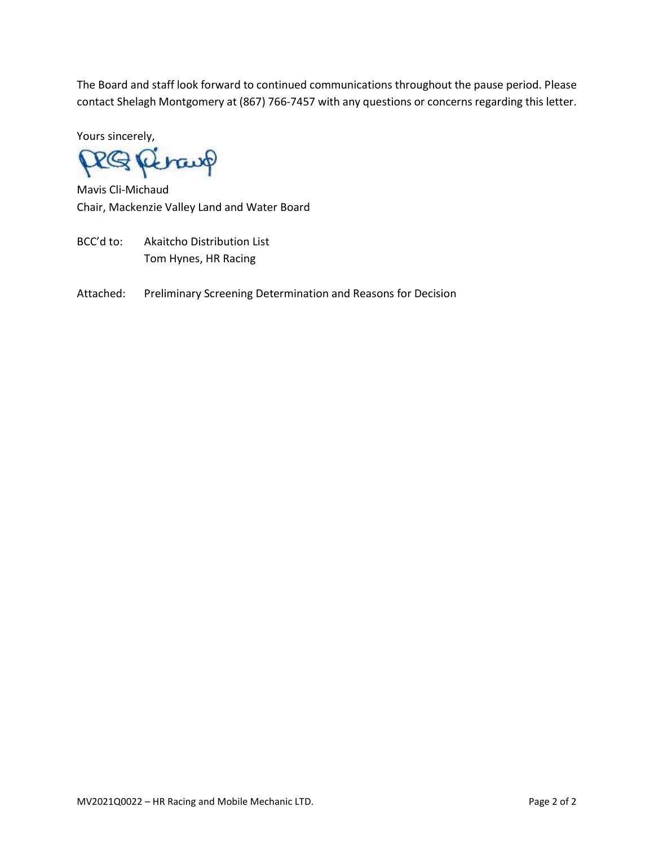The Board and staff look forward to continued communications throughout the pause period. Please contact Shelagh Montgomery at (867) 766-7457 with any questions or concerns regarding this letter.

Yours sincerely,

RQP brang

Mavis Cli-Michaud Chair, Mackenzie Valley Land and Water Board

- BCC'd to: Akaitcho Distribution List Tom Hynes, HR Racing
- Attached: Preliminary Screening Determination and Reasons for Decision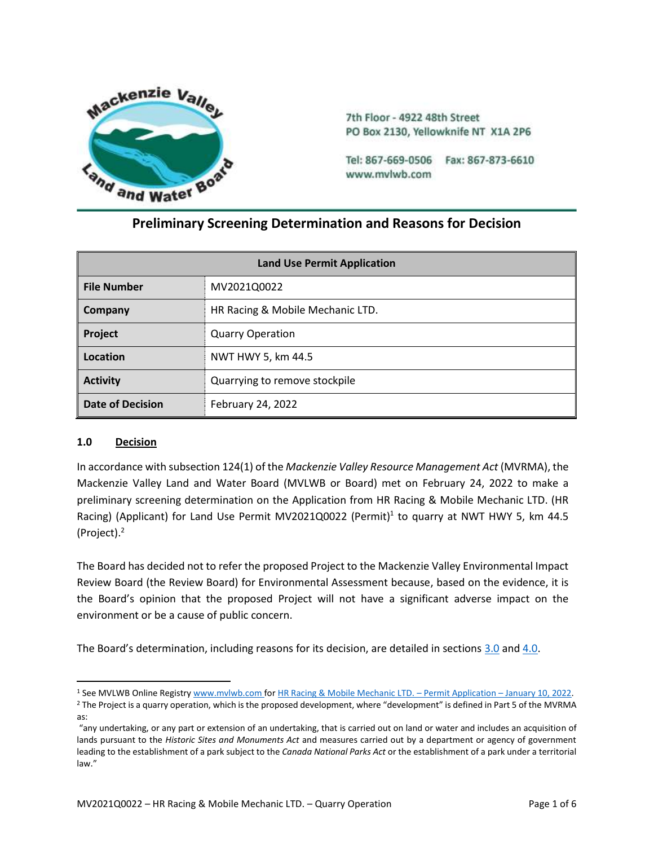

7th Floor - 4922 48th Street PO Box 2130, Yellowknife NT X1A 2P6

Tel: 867-669-0506 Fax: 867-873-6610 www.mvlwb.com

## **Preliminary Screening Determination and Reasons for Decision**

| <b>Land Use Permit Application</b> |                                  |  |  |
|------------------------------------|----------------------------------|--|--|
| <b>File Number</b>                 | MV2021Q0022                      |  |  |
| Company                            | HR Racing & Mobile Mechanic LTD. |  |  |
| Project                            | <b>Quarry Operation</b>          |  |  |
| Location                           | NWT HWY 5, km 44.5               |  |  |
| <b>Activity</b>                    | Quarrying to remove stockpile    |  |  |
| <b>Date of Decision</b>            | February 24, 2022                |  |  |

#### **1.0 Decision**

In accordance with subsection 124(1) of the *Mackenzie Valley Resource Management Act* (MVRMA), the Mackenzie Valley Land and Water Board (MVLWB or Board) met on February 24, 2022 to make a preliminary screening determination on the Application from HR Racing & Mobile Mechanic LTD. (HR Racing) (Applicant) for Land Use Permit MV2021Q0022 (Permit)<sup>1</sup> to quarry at NWT HWY 5, km 44.5 (Project). 2

The Board has decided not to refer the proposed Project to the Mackenzie Valley Environmental Impact Review Board (the Review Board) for Environmental Assessment because, based on the evidence, it is the Board's opinion that the proposed Project will not have a significant adverse impact on the environment or be a cause of public concern.

The Board's determination, including reasons for its decision, are detailed in sections [3.0](#page-3-0) an[d 4.0.](#page-5-0)

<sup>1</sup> See MVLWB Online Registr[y www.mvlwb.com](https://mvlwb.com/) fo[r HR Racing & Mobile Mechanic LTD.](https://registry.mvlwb.ca/Documents/MV2021Q0022/HR%20Racing%20-%20Application%20-%20Complete%20-%20Jan10_22.pdf) – Permit Application – January 10, 2022.

<sup>&</sup>lt;sup>2</sup> The Project is a quarry operation, which is the proposed development, where "development" is defined in Part 5 of the MVRMA as:

<sup>&</sup>quot;any undertaking, or any part or extension of an undertaking, that is carried out on land or water and includes an acquisition of lands pursuant to the *Historic Sites and Monuments Act* and measures carried out by a department or agency of government leading to the establishment of a park subject to the *Canada National Parks Act* or the establishment of a park under a territorial law."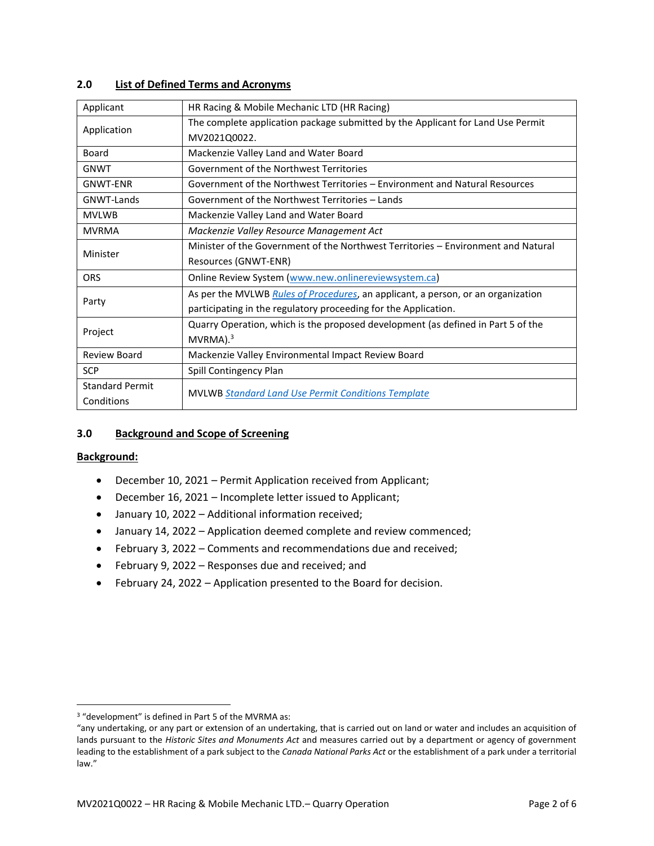#### **2.0 List of Defined Terms and Acronyms**

| Applicant              | HR Racing & Mobile Mechanic LTD (HR Racing)                                              |  |  |
|------------------------|------------------------------------------------------------------------------------------|--|--|
| Application            | The complete application package submitted by the Applicant for Land Use Permit          |  |  |
|                        | MV2021Q0022.                                                                             |  |  |
| Board                  | Mackenzie Valley Land and Water Board                                                    |  |  |
| <b>GNWT</b>            | Government of the Northwest Territories                                                  |  |  |
| <b>GNWT-ENR</b>        | Government of the Northwest Territories – Environment and Natural Resources              |  |  |
| <b>GNWT-Lands</b>      | Government of the Northwest Territories - Lands                                          |  |  |
| <b>MVLWB</b>           | Mackenzie Valley Land and Water Board                                                    |  |  |
| <b>MVRMA</b>           | Mackenzie Valley Resource Management Act                                                 |  |  |
| Minister               | Minister of the Government of the Northwest Territories - Environment and Natural        |  |  |
|                        | Resources (GNWT-ENR)                                                                     |  |  |
| <b>ORS</b>             | Online Review System (www.new.onlinereviewsystem.ca)                                     |  |  |
| Party                  | As per the MVLWB <i>Rules of Procedures</i> , an applicant, a person, or an organization |  |  |
|                        | participating in the regulatory proceeding for the Application.                          |  |  |
| Project                | Quarry Operation, which is the proposed development (as defined in Part 5 of the         |  |  |
|                        | $MVRMA$ ). <sup>3</sup>                                                                  |  |  |
| <b>Review Board</b>    | Mackenzie Valley Environmental Impact Review Board                                       |  |  |
| <b>SCP</b>             | Spill Contingency Plan                                                                   |  |  |
| <b>Standard Permit</b> |                                                                                          |  |  |
| Conditions             | <b>MVLWB Standard Land Use Permit Conditions Template</b>                                |  |  |

#### <span id="page-3-0"></span>**3.0 Background and Scope of Screening**

#### **Background:**

- December 10, 2021 Permit Application received from Applicant;
- December 16, 2021 Incomplete letter issued to Applicant;
- January 10, 2022 Additional information received;
- January 14, 2022 Application deemed complete and review commenced;
- February 3, 2022 Comments and recommendations due and received;
- February 9, 2022 Responses due and received; and
- February 24, 2022 Application presented to the Board for decision.

<sup>3</sup> "development" is defined in Part 5 of the MVRMA as:

<sup>&</sup>quot;any undertaking, or any part or extension of an undertaking, that is carried out on land or water and includes an acquisition of lands pursuant to the *Historic Sites and Monuments Act* and measures carried out by a department or agency of government leading to the establishment of a park subject to the *Canada National Parks Act* or the establishment of a park under a territorial law."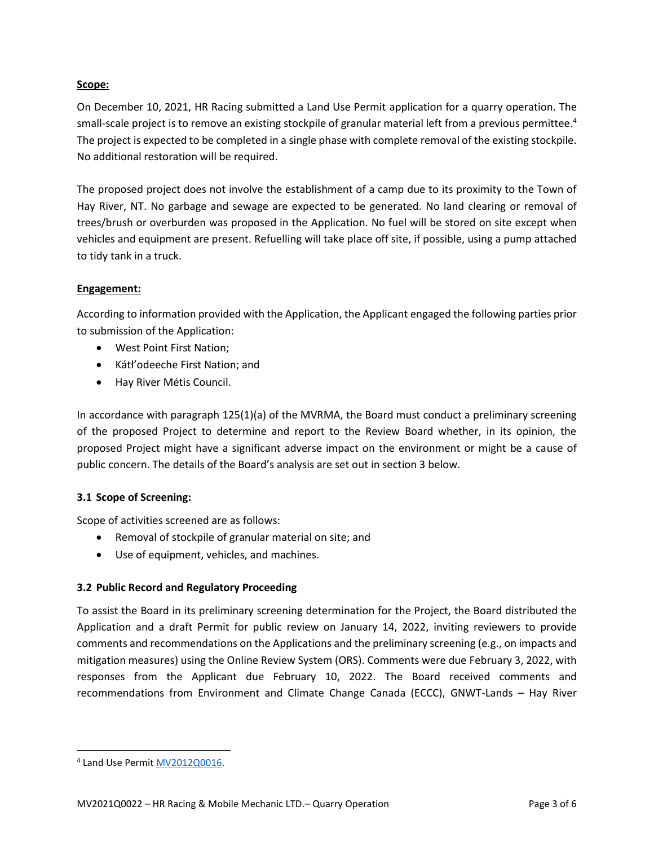#### **Scope:**

On December 10, 2021, HR Racing submitted a Land Use Permit application for a quarry operation. The small-scale project is to remove an existing stockpile of granular material left from a previous permittee.<sup>4</sup> The project is expected to be completed in a single phase with complete removal of the existing stockpile. No additional restoration will be required.

The proposed project does not involve the establishment of a camp due to its proximity to the Town of Hay River, NT. No garbage and sewage are expected to be generated. No land clearing or removal of trees/brush or overburden was proposed in the Application. No fuel will be stored on site except when vehicles and equipment are present. Refuelling will take place off site, if possible, using a pump attached to tidy tank in a truck.

#### **Engagement:**

According to information provided with the Application, the Applicant engaged the following parties prior to submission of the Application:

- West Point First Nation;
- Kátł'odeeche First Nation; and
- Hay River Métis Council.

In accordance with paragraph 125(1)(a) of the MVRMA, the Board must conduct a preliminary screening of the proposed Project to determine and report to the Review Board whether, in its opinion, the proposed Project might have a significant adverse impact on the environment or might be a cause of public concern. The details of the Board's analysis are set out in section 3 below.

#### **3.1 Scope of Screening:**

Scope of activities screened are as follows:

- Removal of stockpile of granular material on site; and
- Use of equipment, vehicles, and machines.

## **3.2 Public Record and Regulatory Proceeding**

To assist the Board in its preliminary screening determination for the Project, the Board distributed the Application and a draft Permit for public review on January 14, 2022, inviting reviewers to provide comments and recommendations on the Applications and the preliminary screening (e.g., on impacts and mitigation measures) using the Online Review System (ORS). Comments were due February 3, 2022, with responses from the Applicant due February 10, 2022. The Board received comments and recommendations from Environment and Climate Change Canada (ECCC), GNWT-Lands – Hay River

<sup>&</sup>lt;sup>4</sup> Land Use Permit [MV2012Q0016.](https://mvlwb.com/registry/MV2012Q0016)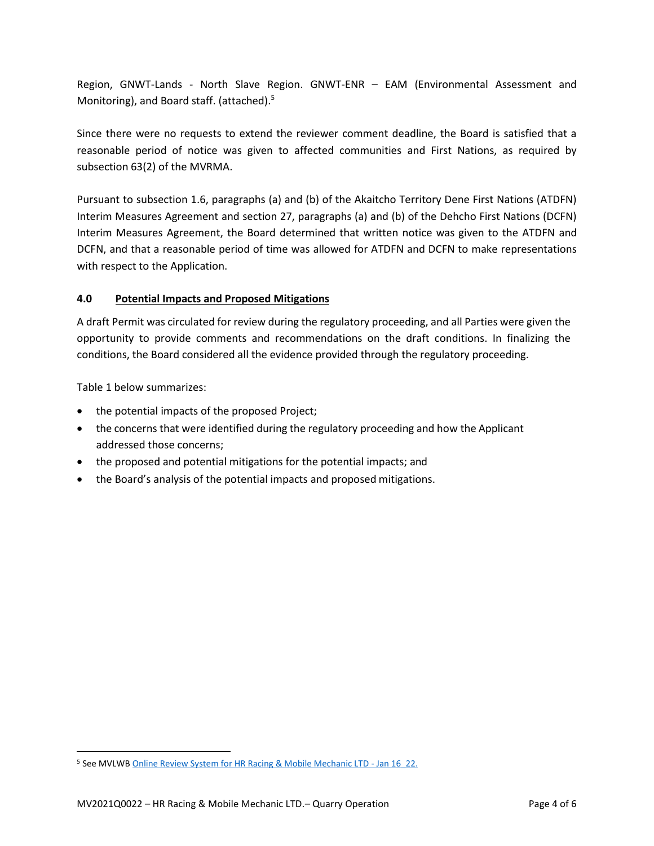Region, GNWT-Lands - North Slave Region. GNWT-ENR – EAM (Environmental Assessment and Monitoring), and Board staff. (attached).<sup>5</sup>

Since there were no requests to extend the reviewer comment deadline, the Board is satisfied that a reasonable period of notice was given to affected communities and First Nations, as required by subsection 63(2) of the MVRMA.

Pursuant to subsection 1.6, paragraphs (a) and (b) of the Akaitcho Territory Dene First Nations (ATDFN) Interim Measures Agreement and section 27, paragraphs (a) and (b) of the Dehcho First Nations (DCFN) Interim Measures Agreement, the Board determined that written notice was given to the ATDFN and DCFN, and that a reasonable period of time was allowed for ATDFN and DCFN to make representations with respect to the Application.

## <span id="page-5-0"></span>**4.0 Potential Impacts and Proposed Mitigations**

A draft Permit was circulated for review during the regulatory proceeding, and all Parties were given the opportunity to provide comments and recommendations on the draft conditions. In finalizing the conditions, the Board considered all the evidence provided through the regulatory proceeding.

Table 1 below summarizes:

- the potential impacts of the proposed Project;
- the concerns that were identified during the regulatory proceeding and how the Applicant addressed those concerns;
- the proposed and potential mitigations for the potential impacts; and
- the Board's analysis of the potential impacts and proposed mitigations.

<sup>&</sup>lt;sup>5</sup> See MVLWB [Online Review System for HR Racing & Mobile Mechanic LTD -](https://new.onlinereviewsystem.ca/review/1EFDDC55-8475-EC11-94F6-DC984013DD04) Jan 16 22.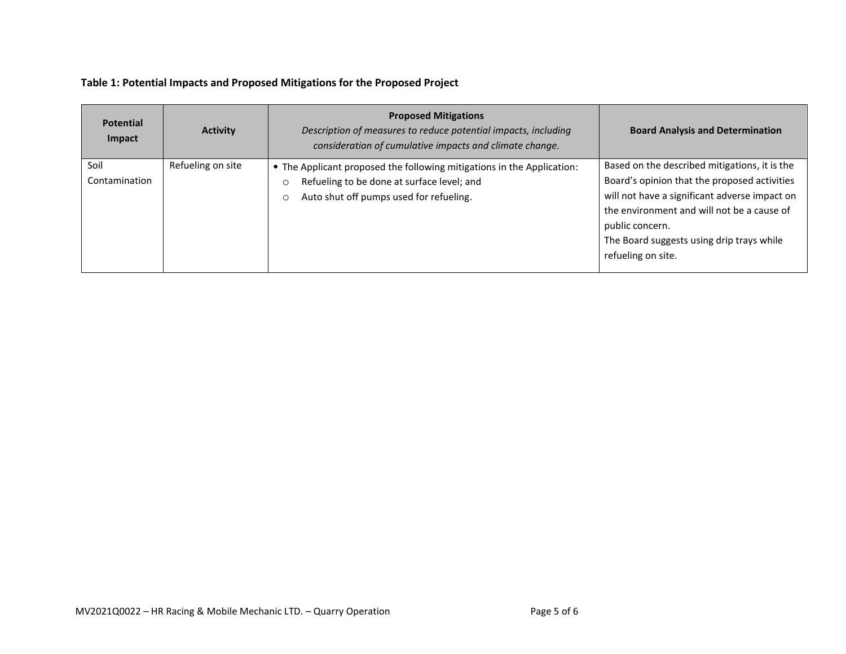## **Table 1: Potential Impacts and Proposed Mitigations for the Proposed Project**

| <b>Potential</b><br>Impact | <b>Activity</b>   | <b>Proposed Mitigations</b><br>Description of measures to reduce potential impacts, including<br>consideration of cumulative impacts and climate change.                              | <b>Board Analysis and Determination</b>                                                                                                                                                                                                                                            |
|----------------------------|-------------------|---------------------------------------------------------------------------------------------------------------------------------------------------------------------------------------|------------------------------------------------------------------------------------------------------------------------------------------------------------------------------------------------------------------------------------------------------------------------------------|
| Soil<br>Contamination      | Refueling on site | • The Applicant proposed the following mitigations in the Application:<br>Refueling to be done at surface level; and<br>$\circ$<br>Auto shut off pumps used for refueling.<br>$\circ$ | Based on the described mitigations, it is the<br>Board's opinion that the proposed activities<br>will not have a significant adverse impact on<br>the environment and will not be a cause of<br>public concern.<br>The Board suggests using drip trays while<br>refueling on site. |